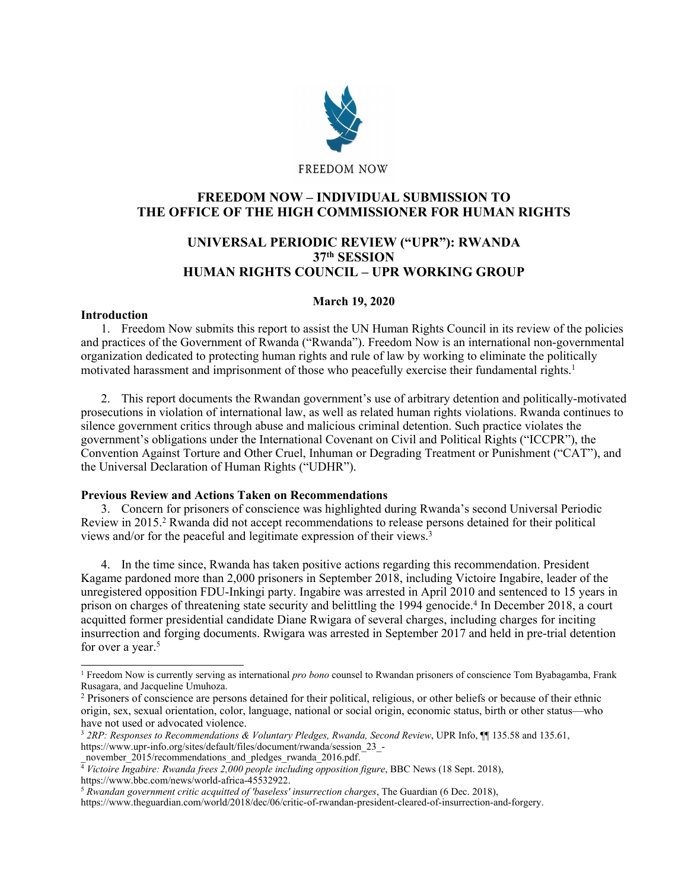

# **FREEDOM NOW – INDIVIDUAL SUBMISSION TO THE OFFICE OF THE HIGH COMMISSIONER FOR HUMAN RIGHTS**

## **UNIVERSAL PERIODIC REVIEW ("UPR"): RWANDA 37th SESSION HUMAN RIGHTS COUNCIL – UPR WORKING GROUP**

## **March 19, 2020**

## **Introduction**

1. Freedom Now submits this repor<sup>t</sup> to assist the UN Human Rights Council in its review of the policies and practices of the Government of Rwanda ("Rwanda"). Freedom Now is an international non-governmental organization dedicated to protecting human rights and rule of law by working to eliminate the politically motivated harassment and imprisonment of those who peacefully exercise their fundamental rights. 1

2. This repor<sup>t</sup> documents the Rwandan government'<sup>s</sup> use of arbitrary detention and politically-motivated prosecutions in violation of international law, as well as related human rights violations. Rwanda continues to silence governmen<sup>t</sup> critics through abuse and malicious criminal detention. Such practice violates the government'<sup>s</sup> obligations under the International Covenant on Civil and Political Rights ("ICCPR"), the Convention Against Torture and Other Cruel, Inhuman or Degrading Treatment or Punishment ("CAT"), and the Universal Declaration of Human Rights ("UDHR").

## **Previous Review and Actions Taken on Recommendations**

3. Concern for prisoners of conscience was highlighted during Rwanda'<sup>s</sup> second Universal Periodic Review in 2015. <sup>2</sup> Rwanda did not accep<sup>t</sup> recommendations to release persons detained for their political views and/or for the peaceful and legitimate expression of their views.<sup>3</sup>

4. In the time since, Rwanda has taken positive actions regarding this recommendation. President Kagame pardoned more than 2,000 prisoners in September 2018, including Victoire Ingabire, leader of the unregistered opposition FDU-Inkingi party. Ingabire was arrested in April 2010 and sentenced to 15 years in prison on charges of threatening state security and belittling the 1994 genocide. 4 In December 2018, <sup>a</sup> court acquitted former presidential candidate Diane Rwigara of several charges, including charges for inciting insurrection and forging documents. Rwigara was arrested in September 2017 and held in pre-trial detention for over <sup>a</sup> year. 5

<sup>1</sup> Freedom Now is currently serving as international *pro bono* counsel to Rwandan prisoners of conscience Tom Byabagamba, Frank Rusagara, and Jacqueline Umuhoza.

<sup>2</sup> Prisoners of conscience are persons detained for their political, religious, or other beliefs or because of their ethnic origin, sex, sexual orientation, color, language, national or social origin, economic status, birth or other status—who have not used or advocated violence.

<sup>3</sup> *2RP: Responses to Recommendations & Voluntary Pledges, Rwanda, Second Review*, UPR Info, ¶¶ 135.58 and 135.61, https://www.upr-info.org/sites/default/files/document/rwanda/session\_23\_-

november\_2015/recommendations\_and\_pledges\_rwanda\_2016.pdf.<br> $\frac{1}{4}$  Victoire Ingabire: Rwanda frees 2,000 people including opposition figure, BBC News (18 Sept. 2018),

https://www.bbc.com/news/world-africa-45532922.

<sup>5</sup> *Rwandan governmen<sup>t</sup> critic acquitted of 'baseless' insurrection charges*, The Guardian (6 Dec. 2018),

https://www.theguardian.com/world/2018/dec/06/critic-of-rwandan-president-cleared-of-insurrection-and-forgery.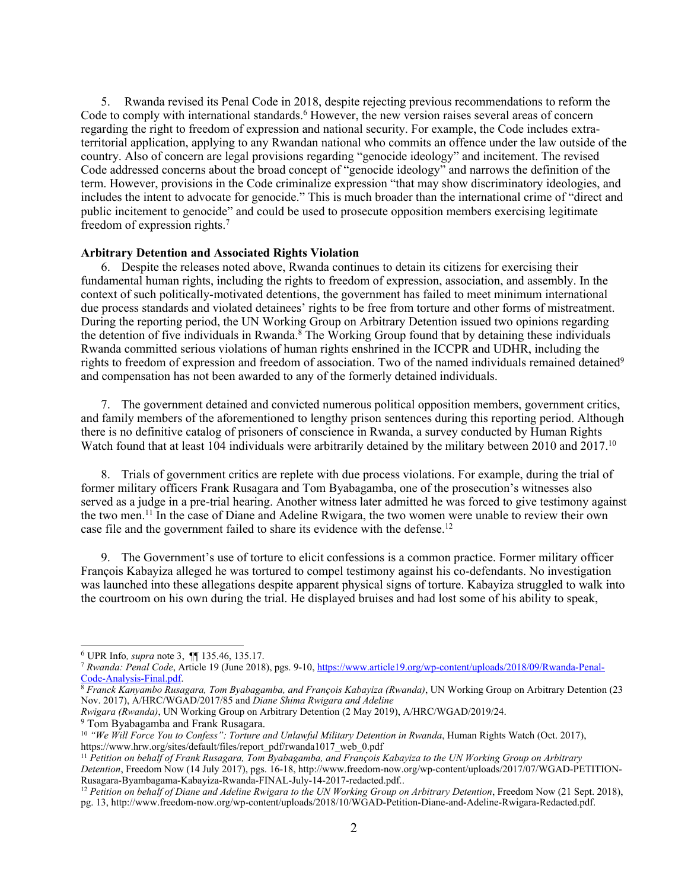5. Rwanda revised its Penal Code in 2018, despite rejecting previous recommendations to reform the Code to comply with international standards.<sup>6</sup> However, the new version raises several areas of concern regarding the right to freedom of expression and national security. For example, the Code includes extraterritorial application, applying to any Rwandan national who commits an offence under the law outside of the country. Also of concern are legal provisions regarding "genocide ideology" and incitement. The revised Code addressed concerns about the broad concep<sup>t</sup> of "genocide ideology" and narrows the definition of the term. However, provisions in the Code criminalize expression "that may show discriminatory ideologies, and includes the intent to advocate for genocide." This is much broader than the international crime of "direct and public incitement to genocide" and could be used to prosecute opposition members exercising legitimate freedom of expression rights. 7

#### **Arbitrary Detention and Associated Rights Violation**

6. Despite the releases noted above, Rwanda continues to detain its citizens for exercising their fundamental human rights, including the rights to freedom of expression, association, and assembly. In the context of such politically-motivated detentions, the governmen<sup>t</sup> has failed to meet minimum international due process standards and violated detainees' rights to be free from torture and other forms of mistreatment. During the reporting period, the UN Working Group on Arbitrary Detention issued two opinions regarding the detention of five individuals in Rwanda.<sup>8</sup> The Working Group found that by detaining these individuals Rwanda committed serious violations of human rights enshrined in the ICCPR and UDHR, including the rights to freedom of expression and freedom of association. Two of the named individuals remained detained<sup>9</sup> and compensation has not been awarded to any of the formerly detained individuals.

7. The governmen<sup>t</sup> detained and convicted numerous political opposition members, governmen<sup>t</sup> critics, and family members of the aforementioned to lengthy prison sentences during this reporting period. Although there is no definitive catalog of prisoners of conscience in Rwanda, <sup>a</sup> survey conducted by Human Rights Watch found that at least 104 individuals were arbitrarily detained by the military between 2010 and 2017.<sup>10</sup>

8. Trials of governmen<sup>t</sup> critics are replete with due process violations. For example, during the trial of former military officers Frank Rusagara and Tom Byabagamba, one of the prosecution'<sup>s</sup> witnesses also served as <sup>a</sup> judge in <sup>a</sup> pre-trial hearing. Another witness later admitted he was forced to give testimony against the two men.<sup>11</sup> In the case of Diane and Adeline Rwigara, the two women were unable to review their own case file and the governmen<sup>t</sup> failed to share its evidence with the defense. 12

9. The Government'<sup>s</sup> use of torture to elicit confessions is <sup>a</sup> common practice. Former military officer François Kabayiza alleged he was tortured to compel testimony against his co-defendants. No investigation was launched into these allegations despite apparen<sup>t</sup> physical signs of torture. Kabayiza struggled to walk into the courtroom on his own during the trial. He displayed bruises and had lost some of his ability to speak,

<sup>6</sup> UPR Info*, supra* note 3, ¶¶ 135.46, 135.17.

<sup>7</sup> *Rwanda: Penal Code*, Article 19 (June 2018), pgs. 9-10, [https://www.article19.org/wp-content/uploads/2018/09/Rwanda-Penal-](https://www.article19.org/wp-content/uploads/2018/09/Rwanda-Penal-Code-Analysis-Final.pdf)[Code-Analysis-Final.pdf](https://www.article19.org/wp-content/uploads/2018/09/Rwanda-Penal-Code-Analysis-Final.pdf).

<sup>8</sup> *Franck Kanyambo Rusagara, Tom Byabagamba, and François Kabayiza (Rwanda)*, UN Working Group on Arbitrary Detention (23 Nov. 2017), A/HRC/WGAD/2017/85 and *Diane Shima Rwigara and Adeline*

*Rwigara (Rwanda)*, UN Working Group on Arbitrary Detention (2 May 2019), A/HRC/WGAD/2019/24.

<sup>9</sup> Tom Byabagamba and Frank Rusagara.

<sup>&</sup>lt;sup>10</sup> "We Will Force You to Confess": Torture and Unlawful Military Detention in Rwanda, Human Rights Watch (Oct. 2017), https://www.hrw.org/sites/default/files/report\_pdf/rwanda1017\_web\_0.pdf

 $^{11}$  Petition on behalf of Frank Rusagara, Tom Byabagamba, and François Kabayiza to the UN Working Group on Arbitrary *Detention*, Freedom Now (14 July 2017), pgs. 16-18, http://www.freedom-now.org/wp-content/uploads/2017/07/WGAD-PETITION-Rusagara-Byambagama-Kabayiza-Rwanda-FINAL-July-14-2017-redacted.pdf..

<sup>&</sup>lt;sup>12</sup> Petition on behalf of Diane and Adeline Rwigara to the UN Working Group on Arbitrary Detention, Freedom Now (21 Sept. 2018), pg. 13, http://www.freedom-now.org/wp-content/uploads/2018/10/WGAD-Petition-Diane-and-Adeline-Rwigara-Redacted.pdf.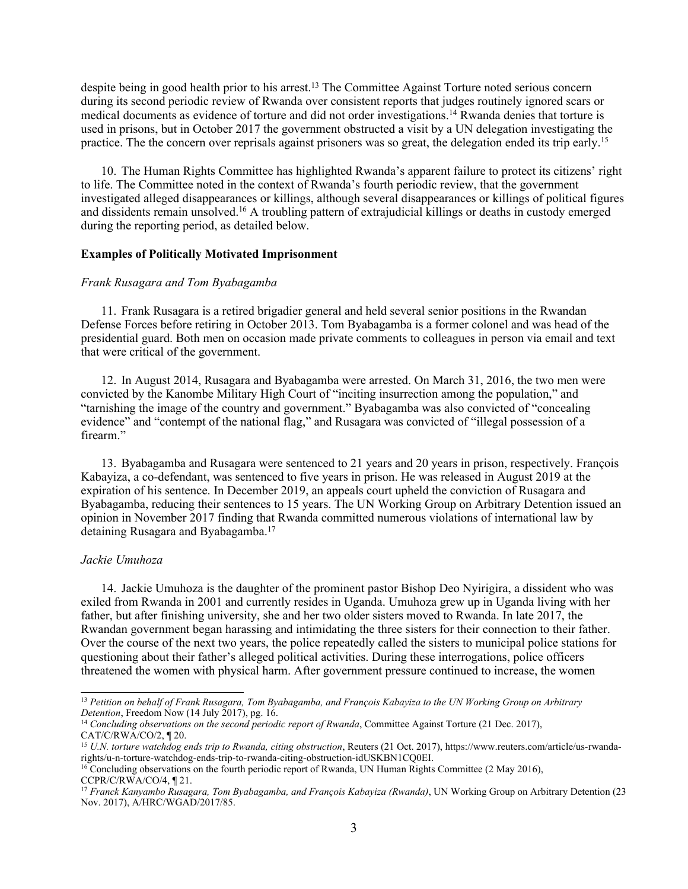despite being in good health prior to his arrest. 13 The Committee Against Torture noted serious concern during its second periodic review of Rwanda over consistent reports that judges routinely ignored scars or medical documents as evidence of torture and did not order investigations. <sup>14</sup> Rwanda denies that torture is used in prisons, but in October 2017 the governmen<sup>t</sup> obstructed <sup>a</sup> visit by <sup>a</sup> UN delegation investigating the practice. The the concern over reprisals against prisoners was so great, the delegation ended its trip early.<sup>15</sup>

10. The Human Rights Committee has highlighted Rwanda'<sup>s</sup> apparen<sup>t</sup> failure to protect its citizens' right to life. The Committee noted in the context of Rwanda'<sup>s</sup> fourth periodic review, that the governmen<sup>t</sup> investigated alleged disappearances or killings, although several disappearances or killings of political figures and dissidents remain unsolved. <sup>16</sup> <sup>A</sup> troubling pattern of extrajudicial killings or deaths in custody emerged during the reporting period, as detailed below.

#### **Examples of Politically Motivated Imprisonment**

#### *Frank Rusagara and Tom Byabagamba*

11. Frank Rusagara is <sup>a</sup> retired brigadier general and held several senior positions in the Rwandan Defense Forces before retiring in October 2013. Tom Byabagamba is <sup>a</sup> former colonel and was head of the presidential guard. Both men on occasion made private comments to colleagues in person via email and text that were critical of the government.

12. In August 2014, Rusagara and Byabagamba were arrested. On March 31, 2016, the two men were convicted by the Kanombe Military High Court of "inciting insurrection among the population," and "tarnishing the image of the country and government." Byabagamba was also convicted of "concealing evidence" and "contempt of the national flag," and Rusagara was convicted of "illegal possession of <sup>a</sup> firearm."

13. Byabagamba and Rusagara were sentenced to 21 years and 20 years in prison, respectively. François Kabayiza, <sup>a</sup> co-defendant, was sentenced to five years in prison. He was released in August 2019 at the expiration of his sentence. In December 2019, an appeals court upheld the conviction of Rusagara and Byabagamba, reducing their sentences to 15 years. The UN Working Group on Arbitrary Detention issued an opinion in November 2017 finding that Rwanda committed numerous violations of international law by detaining Rusagara and Byabagamba. 17

#### *Jackie Umuhoza*

14. Jackie Umuhoza is the daughter of the prominent pastor Bishop Deo Nyirigira, <sup>a</sup> dissident who was exiled from Rwanda in 2001 and currently resides in Uganda. Umuhoza grew up in Uganda living with her father, but after finishing university, she and her two older sisters moved to Rwanda. In late 2017, the Rwandan governmen<sup>t</sup> began harassing and intimidating the three sisters for their connection to their father. Over the course of the next two years, the police repeatedly called the sisters to municipal police stations for questioning about their father'<sup>s</sup> alleged political activities. During these interrogations, police officers threatened the women with physical harm. After governmen<sup>t</sup> pressure continued to increase, the women

<sup>&</sup>lt;sup>13</sup> Petition on behalf of Frank Rusagara, Tom Byabagamba, and François Kabayiza to the UN Working Group on Arbitrary *Detention*, Freedom Now (14 July 2017), pg. 16.

<sup>14</sup> *Concluding observations on the second periodic repor<sup>t</sup> of Rwanda*, Committee Against Torture (21 Dec. 2017), CAT/C/RWA/CO/2, ¶ 20.

<sup>15</sup> *U.N. torture watchdog ends trip to Rwanda, citing obstruction*, Reuters (21 Oct. 2017), https://www.reuters.com/article/us-rwandarights/u-n-torture-watchdog-ends-trip-to-rwanda-citing-obstruction-idUSKBN1CQ0EI.

<sup>&</sup>lt;sup>16</sup> Concluding observations on the fourth periodic report of Rwanda, UN Human Rights Committee (2 May 2016), CCPR/C/RWA/CO/4, ¶ 21.

<sup>17</sup> *Franck Kanyambo Rusagara, Tom Byabagamba, and François Kabayiza (Rwanda)*, UN Working Group on Arbitrary Detention (23 Nov. 2017), A/HRC/WGAD/2017/85.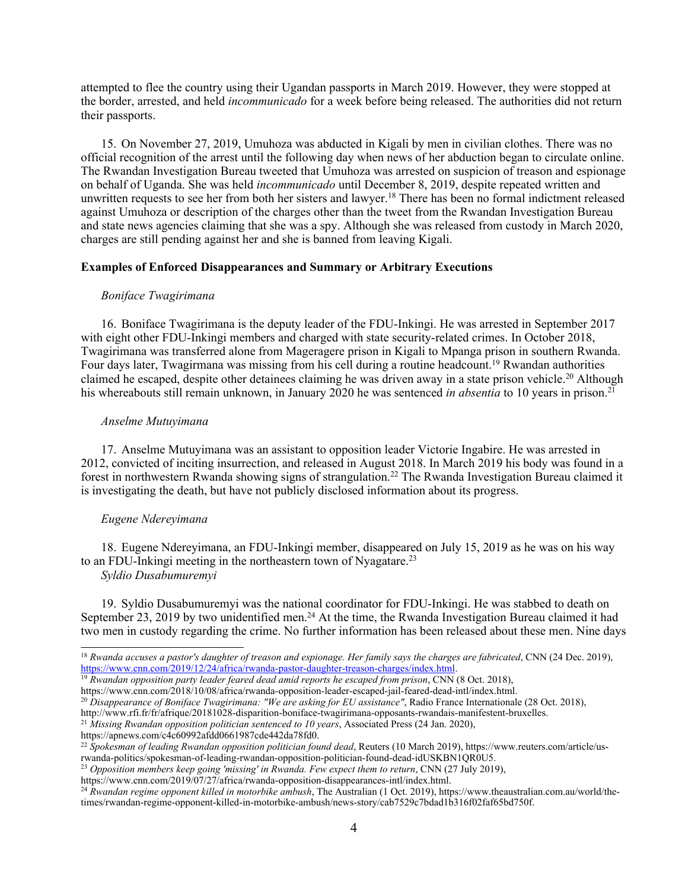attempted to flee the country using their Ugandan passports in March 2019. However, they were stopped at the border, arrested, and held *incommunicado* for <sup>a</sup> week before being released. The authorities did not return their passports.

15. On November 27, 2019, Umuhoza was abducted in Kigali by men in civilian clothes. There was no official recognition of the arrest until the following day when news of her abduction began to circulate online. The Rwandan Investigation Bureau tweeted that Umuhoza was arrested on suspicion of treason and espionage on behalf of Uganda. She was held *incommunicado* until December 8, 2019, despite repeated written and unwritten requests to see her from both her sisters and lawyer. 18 There has been no formal indictment released against Umuhoza or description of the charges other than the tweet from the Rwandan Investigation Bureau and state news agencies claiming that she was <sup>a</sup> spy. Although she was released from custody in March 2020, charges are still pending against her and she is banned from leaving Kigali.

#### **Examples of Enforced Disappearances and Summary or Arbitrary Executions**

#### *Boniface Twagirimana*

16. Boniface Twagirimana is the deputy leader of the FDU-Inkingi. He was arrested in September 2017 with eight other FDU-Inkingi members and charged with state security-related crimes. In October 2018, Twagirimana was transferred alone from Mageragere prison in Kigali to Mpanga prison in southern Rwanda. Four days later, Twagirmana was missing from his cell during <sup>a</sup> routine headcount. <sup>19</sup> Rwandan authorities claimed he escaped, despite other detainees claiming he was driven away in a state prison vehicle.<sup>20</sup> Although his whereabouts still remain unknown, in January 2020 he was sentenced *in absentia* to 10 years in prison. 21

#### *Anselme Mutuyimana*

17. Anselme Mutuyimana was an assistant to opposition leader Victorie Ingabire. He was arrested in 2012, convicted of inciting insurrection, and released in August 2018. In March 2019 his body was found in <sup>a</sup> forest in northwestern Rwanda showing signs of strangulation.<sup>22</sup> The Rwanda Investigation Bureau claimed it is investigating the death, but have not publicly disclosed information about its progress.

## *Eugene Ndereyimana*

18. Eugene Ndereyimana, an FDU-Inkingi member, disappeared on July 15, 2019 as he was on his way to an FDU-Inkingi meeting in the northeastern town of Nyagatare.<sup>23</sup> *Syldio Dusabumuremyi*

19. Syldio Dusabumuremyi was the national coordinator for FDU-Inkingi. He was stabbed to death on September 23, 2019 by two unidentified men.<sup>24</sup> At the time, the Rwanda Investigation Bureau claimed it had two men in custody regarding the crime. No further information has been released about these men. Nine days

 $^{18}$  Rwanda accuses a pastor's daughter of treason and espionage. Her family says the charges are fabricated, CNN (24 Dec. 2019), <u><https://www.cnn.com/2019/12/24/africa/rwanda-pastor-daughter-treason-charges/index.html></u>.<br><sup>19</sup> Rwandan opposition party leader feared dead amid reports he escaped from prison, CNN (8 Oct. 2018),

https://www.cnn.com/2018/10/08/africa/rwanda-opposition-leader-escaped-jail-feared-dead-intl/index.html.

<sup>20</sup> *Disappearance of Boniface Twagirimana: "We are asking for EU assistance"*, Radio France Internationale (28 Oct. 2018),

http://www.rfi.fr/fr/afrique/20181028-disparition-boniface-twagirimana-opposants-rwandais-manifestent-bruxelles.

<sup>21</sup> *Missing Rwandan opposition politician sentenced to 10 years*, Associated Press (24 Jan. 2020),

https://apnews.com/c4c60992afdd0661987cde442da78fd0.

<sup>22</sup> *Spokesman of leading Rwandan opposition politician found dead*, Reuters (10 March 2019), https://www.reuters.com/article/usrwanda-politics/spokesman-of-leading-rwandan-opposition-politician-found-dead-idUSKBN1QR0U5.

<sup>23</sup> *Opposition members keep going 'missing' in Rwanda. Few expec<sup>t</sup> them to return*, CNN (27 July 2019),

https://www.cnn.com/2019/07/27/africa/rwanda-opposition-disappearances-intl/index.html.

<sup>24</sup> *Rwandan regime opponen<sup>t</sup> killed in motorbike ambush*, The Australian (1 Oct. 2019), https://www.theaustralian.com.au/world/thetimes/rwandan-regime-opponent-killed-in-motorbike-ambush/news-story/cab7529c7bdad1b316f02faf65bd750f.